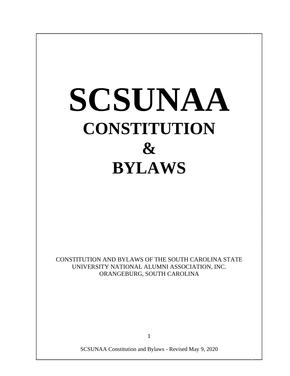# **SCSUNAA CONSTITUTION & BYLAWS**

CONSTITUTION AND BYLAWS OF THE SOUTH CAROLINA STATE UNIVERSITY NATIONAL ALUMNI ASSOCIATION, INC. ORANGEBURG, SOUTH CAROLINA

1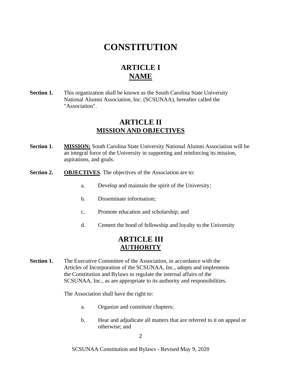## **CONSTITUTION**

## **ARTICLE I NAME**

**Section 1.** This organization shall be known as the South Carolina State University National Alumni Association, Inc. (SCSUNAA), hereafter called the "Association".

## **ARTICLE II MISSION AND OBJECTIVES**

- **Section 1. MISSION:** South Carolina State University National Alumni Association will be an integral force of the University in supporting and reinforcing its mission, aspirations, and goals.
- **Section 2. OBJECTIVES**. The objectives of the Association are to:
	- a. Develop and maintain the spirit of the University;
	- b. Disseminate information;
	- c. Promote education and scholarship; and
	- d. Cement the bond of fellowship and loyalty to the University

## **ARTICLE III AUTHORITY**

**Section 1.** The Executive Committee of the Association, in accordance with the Articles of Incorporation of the SCSUNAA, Inc., adopts and implements the Constitution and Bylaws to regulate the internal affairs of the SCSUNAA, Inc., as are appropriate to its authority and responsibilities.

The Association shall have the right to:

- a. Organize and constitute chapters;
- b. Hear and adjudicate all matters that are referred to it on appeal or otherwise; and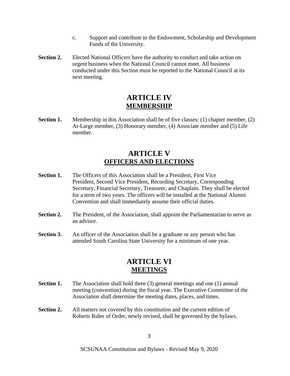- c. Support and contribute to the Endowment, Scholarship and Development Funds of the University.
- **Section 2.** Elected National Officers have the authority to conduct and take action on urgent business when the National Council cannot meet. All business conducted under this Section must be reported to the National Council at its next meeting.

## **ARTICLE IV MEMBERSHIP**

**Section 1.** Membership in this Association shall be of five classes: (1) chapter member, (2) At-Large member, (3) Honorary member, (4) Associate member and (5) Life member.

## **ARTICLE V OFFICERS AND ELECTIONS**

- **Section 1.** The Officers of this Association shall be a President, First Vice President, Second Vice President, Recording Secretary, Corresponding Secretary, Financial Secretary, Treasurer, and Chaplain. They shall be elected for a term of two years. The officers will be installed at the National Alumni Convention and shall immediately assume their official duties.
- **Section 2.** The President, of the Association, shall appoint the Parliamentarian to serve as an advisor.
- **Section 3.** An officer of the Association shall be a graduate or any person who has attended South Carolina State University for a minimum of one year.

## **ARTICLE VI MEETINGS**

- **Section 1.** The Association shall hold three (3) general meetings and one (1) annual meeting (convention) during the fiscal year. The Executive Committee of the Association shall determine the meeting dates, places, and times.
- **Section 2.** All matters not covered by this constitution and the current edition of Roberts Rules of Order, newly revised, shall be governed by the bylaws.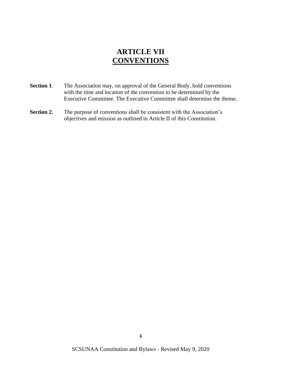## **ARTICLE VII CONVENTIONS**

- **Section 1**. The Association may, on approval of the General Body, hold conventions with the time and location of the convention to be determined by the Executive Committee. The Executive Committee shall determine the theme.
- **Section 2.** The purpose of conventions shall be consistent with the Association's objectives and mission as outlined in Article II of this Constitution.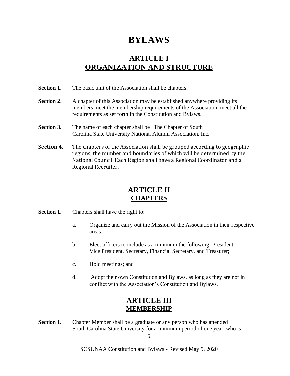# **BYLAWS**

## **ARTICLE I ORGANIZATION AND STRUCTURE**

- Section 1. The basic unit of the Association shall be chapters.
- **Section 2.** A chapter of this Association may be established anywhere providing its members meet the membership requirements of the Association; meet all the requirements as set forth in the Constitution and Bylaws.
- **Section 3.** The name of each chapter shall be "The Chapter of South" Carolina State University National Alumni Association, Inc."
- **Section 4.** The chapters of the Association shall be grouped according to geographic regions, the number and boundaries of which will be determined by the National Council. Each Region shall have a Regional Coordinator and a Regional Recruiter.

## **ARTICLE II CHAPTERS**

**Section 1.** Chapters shall have the right to:

- a. Organize and carry out the Mission of the Association in their respective areas;
- b. Elect officers to include as a minimum the following: President, Vice President, Secretary, Financial Secretary, and Treasurer;
- c. Hold meetings; and
- d. Adopt their own Constitution and Bylaws, as long as they are not in conflict with the Association's Constitution and Bylaws.

## **ARTICLE III MEMBERSHIP**

**Section 1.** Chapter Member shall be a graduate or any person who has attended South Carolina State University for a minimum period of one year, who is

5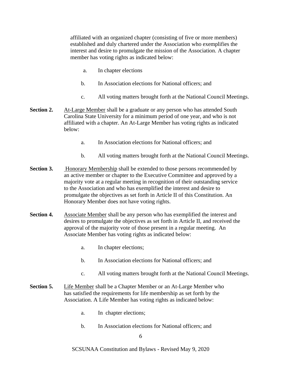affiliated with an organized chapter (consisting of five or more members) established and duly chartered under the Association who exemplifies the interest and desire to promulgate the mission of the Association. A chapter member has voting rights as indicated below:

- a. In chapter elections
- b. In Association elections for National officers; and
- c. All voting matters brought forth at the National Council Meetings.
- **Section 2.** At-Large Member shall be a graduate or any person who has attended South Carolina State University for a minimum period of one year, and who is not affiliated with a chapter. An At-Large Member has voting rights as indicated below:
	- a. In Association elections for National officers; and
	- b. All voting matters brought forth at the National Council Meetings.
- **Section 3.** Honorary Membership shall be extended to those persons recommended by an active member or chapter to the Executive Committee and approved by a majority vote at a regular meeting in recognition of their outstanding service to the Association and who has exemplified the interest and desire to promulgate the objectives as set forth in Article II of this Constitution. An Honorary Member does not have voting rights.
- **Section 4.** Associate Member shall be any person who has exemplified the interest and desires to promulgate the objectives as set forth in Article II, and received the approval of the majority vote of those present in a regular meeting. An Associate Member has voting rights as indicated below:
	- a. In chapter elections;
	- b. In Association elections for National officers; and
	- c. All voting matters brought forth at the National Council Meetings.
- **Section 5.** Life Member shall be a Chapter Member or an At-Large Member who has satisfied the requirements for life membership as set forth by the Association. A Life Member has voting rights as indicated below:
	- a. In chapter elections;
	- b. In Association elections for National officers; and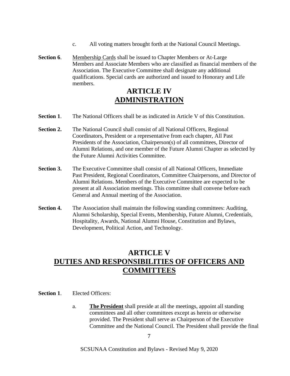- c. All voting matters brought forth at the National Council Meetings.
- **Section 6.** Membership Cards shall be issued to Chapter Members or At-Large Members and Associate Members who are classified as financial members of the Association. The Executive Committee shall designate any additional qualifications. Special cards are authorized and issued to Honorary and Life members.

## **ARTICLE IV ADMINISTRATION**

- **Section 1.** The National Officers shall be as indicated in Article V of this Constitution.
- **Section 2.** The National Council shall consist of all National Officers, Regional Coordinators, President or a representative from each chapter, All Past Presidents of the Association, Chairperson(s) of all committees, Director of Alumni Relations, and one member of the Future Alumni Chapter as selected by the Future Alumni Activities Committee.
- **Section 3.** The Executive Committee shall consist of all National Officers, Immediate Past President, Regional Coordinators, Committee Chairpersons, and Director of Alumni Relations. Members of the Executive Committee are expected to be present at all Association meetings. This committee shall convene before each General and Annual meeting of the Association.
- **Section 4.** The Association shall maintain the following standing committees: Auditing, Alumni Scholarship, Special Events, Membership, Future Alumni, Credentials, Hospitality, Awards, National Alumni House, Constitution and Bylaws, Development, Political Action, and Technology.

## **ARTICLE V DUTIES AND RESPONSIBILITIES OF OFFICERS AND COMMITTEES**

**Section 1.** Elected Officers:

a. **The President** shall preside at all the meetings, appoint all standing committees and all other committees except as herein or otherwise provided. The President shall serve as Chairperson of the Executive Committee and the National Council. The President shall provide the final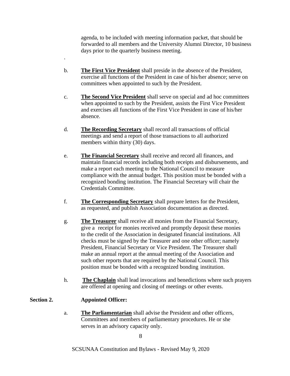agenda, to be included with meeting information packet, that should be forwarded to all members and the University Alumni Director, 10 business days prior to the quarterly business meeting.

- b. **The First Vice President** shall preside in the absence of the President, exercise all functions of the President in case of his/her absence; serve on committees when appointed to such by the President.
- c. **The Second Vice President** shall serve on special and ad hoc committees when appointed to such by the President, assists the First Vice President and exercises all functions of the First Vice President in case of his/her absence.
- d. **The Recording Secretary** shall record all transactions of official meetings and send a report of those transactions to all authorized members within thirty (30) days.
- e. **The Financial Secretary** shall receive and record all finances, and maintain financial records including both receipts and disbursements, and make a report each meeting to the National Council to measure compliance with the annual budget. This position must be bonded with a recognized bonding institution. The Financial Secretary will chair the Credentials Committee.
- f. **The Corresponding Secretary** shall prepare letters for the President, as requested, and publish Association documentation as directed.
- g. **The Treasurer** shall receive all monies from the Financial Secretary, give a receipt for monies received and promptly deposit these monies to the credit of the Association in designated financial institutions. All checks must be signed by the Treasurer and one other officer; namely President, Financial Secretary or Vice President. The Treasurer shall make an annual report at the annual meeting of the Association and such other reports that are required by the National Council. This position must be bonded with a recognized bonding institution.
- h. **The Chaplain** shall lead invocations and benedictions where such prayers are offered at opening and closing of meetings or other events.

#### **Section 2. Appointed Officer:**

.

a. **The Parliamentarian** shall advise the President and other officers, Committees and members of parliamentary procedures. He or she serves in an advisory capacity only.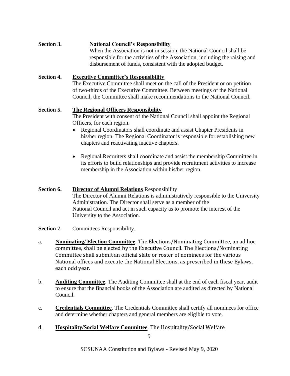**Section 3. National Council's Responsibility** When the Association is not in session, the National Council shall be responsible for the activities of the Association, including the raising and disbursement of funds, consistent with the adopted budget.

#### **Section 4. Executive Committee's Responsibility**

The Executive Committee shall meet on the call of the President or on petition of two-thirds of the Executive Committee. Between meetings of the National Council, the Committee shall make recommendations to the National Council.

#### **Section 5. The Regional Officers Responsibility**

The President with consent of the National Council shall appoint the Regional Officers, for each region.

- Regional Coordinators shall coordinate and assist Chapter Presidents in his/her region. The Regional Coordinator is responsible for establishing new chapters and reactivating inactive chapters.
- Regional Recruiters shall coordinate and assist the membership Committee in its efforts to build relationships and provide recruitment activities to increase membership in the Association within his/her region.

#### **Section 6. Director of Alumni Relations** Responsibility

The Director of Alumni Relations is administratively responsible to the University Administration. The Director shall serve as a member of the National Council and act in such capacity as to promote the interest of the University to the Association.

- **Section 7.** Committees Responsibility.
- a. **Nominating/ Election Committee**. The Elections/Nominating Committee, an ad hoc committee, shall be elected by the Executive Council. The Elections/Nominating Committee shall submit an official slate or roster of nominees for the various National offices and execute the National Elections, as prescribed in these Bylaws, each odd year.
- b. **Auditing Committee**. The Auditing Committee shall at the end of each fiscal year, audit to ensure that the financial books of the Association are audited as directed by National Council.
- c. **Credentials Committee**. The Credentials Committee shall certify all nominees for office and determine whether chapters and general members are eligible to vote.
- d. **Hospitality/Social Welfare Committee**. The Hospitality/Social Welfare

 $\mathbf{q}$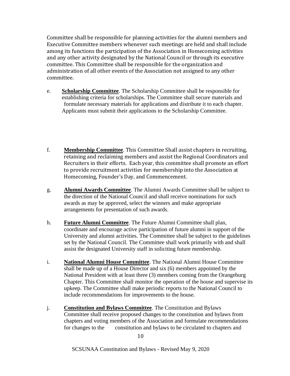Committee shall be responsible for planning activities for the alumni members and Executive Committee members whenever such meetings are held and shall include among its functions the participation of the Association in Homecoming activities and any other activity designated by the National Council or through its executive committee. This Committee shall be responsible for the organization and administration of all other events of the Association not assigned to any other committee.

- e. **Scholarship Committee**. The Scholarship Committee shall be responsible for establishing criteria for scholarships. The Committee shall secure materials and formulate necessary materials for applications and distribute it to each chapter. Applicants must submit their applications to the Scholarship Committee.
- f. **Membership Committee**. This Committee Shall assist chapters in recruiting, retaining and reclaiming members and assist the Regional Coordinators and Recruiters in their efforts. Each year, this committee shall promote an effort to provide recruitment activities for membership into the Association at Homecoming, Founder's Day, and Commencement.
- g. **Alumni Awards Committee**. The Alumni Awards Committee shall be subject to the direction of the National Council and shall receive nominations for such awards as may be approved, select the winners and make appropriate arrangements for presentation of such awards.
- h. **Future Alumni Committee**. The Future Alumni Committee shall plan, coordinate and encourage active participation of future alumni in support of the University and alumni activities. The Committee shall be subject to the guidelines set by the National Council. The Committee shall work primarily with and shall assist the designated University staff in soliciting future membership.
- i. **National Alumni House Committee**. The National Alumni House Committee shall be made up of a House Director and six (6) members appointed by the National President with at least three (3) members coming from the Orangeburg Chapter. This Committee shall monitor the operation of the house and supervise its upkeep. The Committee shall make periodic reports to the National Council to include recommendations for improvements to the house.
- j. **Constitution and Bylaws Committee**. The Constitution and Bylaws Committee shall receive proposed changes to the constitution and bylaws from chapters and voting members of the Association and formulate recommendations for changes to the constitution and bylaws to be circulated to chapters and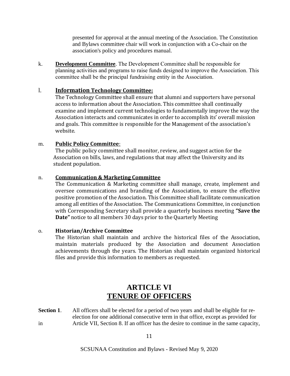presented for approval at the annual meeting of the Association. The Constitution and Bylaws committee chair will work in conjunction with a Co-chair on the association's policy and procedures manual.

k. **Development Committee**. The Development Committee shall be responsible for planning activities and programs to raise funds designed to improve the Association. This committee shall be the principal fundraising entity in the Association.

#### l. **Information Technology Committee:**

The Technology Committee shall ensure that alumni and supporters have personal access to information about the Association. This committee shall continually examine and implement current technologies to fundamentally improve the way the Association interacts and communicates in order to accomplish its' overall mission and goals. This committee is responsible for the Management of the association's website.

#### m. **Public Policy Committee**:

The public policy committee shall monitor, review, and suggest action for the Association on bills, laws, and regulations that may affect the University and its student population.

#### n. **Communication & Marketing Committee**

The Communication & Marketing committee shall manage, create, implement and oversee communications and branding of the Association, to ensure the effective positive promotion of the Association. This Committee shall facilitate communication among all entities of the Association. The Communications Committee, in conjunction with Corresponding Secretary shall provide a quarterly business meeting **"Save the Date"** notice to all members 30 days prior to the Quarterly Meeting

#### o. **Historian/Archive Committee**

The Historian shall maintain and archive the historical files of the Association, maintain materials produced by the Association and document Association achievements through the years. The Historian shall maintain organized historical files and provide this information to members as requested.

## **ARTICLE VI TENURE OF OFFICERS**

**Section 1.** All officers shall be elected for a period of two years and shall be eligible for reelection for one additional consecutive term in that office, except as provided for in Article VII, Section 8. If an officer has the desire to continue in the same capacity,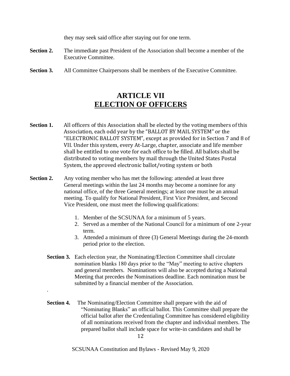they may seek said office after staying out for one term.

- **Section 2.** The immediate past President of the Association shall become a member of the Executive Committee.
- **Section 3.** All Committee Chairpersons shall be members of the Executive Committee.

## **ARTICLE VII ELECTION OF OFFICERS**

- **Section 1.** All officers of this Association shall be elected by the voting members of this Association, each odd year by the "BALLOT BY MAIL SYSTEM" or the "ELECTRONIC BALLOT SYSTEM", except as provided for in Section 7 and 8 of VII. Under this system, every At-Large, chapter, associate and life member shall be entitled to one vote for each office to be filled. All ballots shall be distributed to voting members by mail through the United States Postal System, the approved electronic ballot/voting system or both
- **Section 2.** Any voting member who has met the following: attended at least three General meetings within the last 24 months may become a nominee for any national office, of the three General meetings; at least one must be an annual meeting. To qualify for National President, First Vice President, and Second Vice President, one must meet the following qualifications:
	- 1. Member of the SCSUNAA for a minimum of 5 years.
	- 2. Served as a member of the National Council for a minimum of one 2-year term.
	- 3. Attended a minimum of three (3) General Meetings during the 24-month period prior to the election.
	- **Section 3.** Each election year, the Nominating/Election Committee shall circulate nomination blanks 180 days prior to the "May" meeting to active chapters and general members. Nominations will also be accepted during a National Meeting that precedes the Nominations deadline. Each nomination must be submitted by a financial member of the Association.
	- **Section 4.** The Nominating/Election Committee shall prepare with the aid of "Nominating Blanks" an official ballot. This Committee shall prepare the official ballot after the Credentialing Committee has considered eligibility of all nominations received from the chapter and individual members. The prepared ballot shall include space for write-in candidates and shall be

.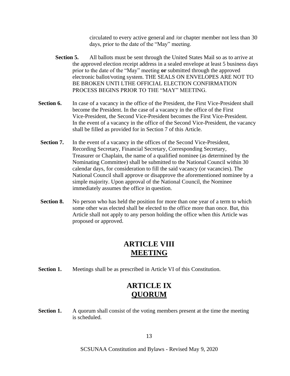circulated to every active general and /or chapter member not less than 30 days, prior to the date of the "May" meeting.

- **Section 5.** All ballots must be sent through the United States Mail so as to arrive at the approved election receipt address in a sealed envelope at least 5 business days prior to the date of the "May" meeting **or** submitted through the approved electronic ballot/voting system. THE SEALS ON ENVELOPES ARE NOT TO BE BROKEN UNTI LTHE OFFICIAL ELECTION CONFIRMATION PROCESS BEGINS PRIOR TO THE "MAY" MEETING.
- **Section 6.** In case of a vacancy in the office of the President, the First Vice-President shall become the President. In the case of a vacancy in the office of the First Vice-President, the Second Vice-President becomes the First Vice-President. In the event of a vacancy in the office of the Second Vice-President, the vacancy shall be filled as provided for in Section 7 of this Article.
- **Section 7.** In the event of a vacancy in the offices of the Second Vice-President, Recording Secretary, Financial Secretary, Corresponding Secretary, Treasurer or Chaplain, the name of a qualified nominee (as determined by the Nominating Committee) shall be submitted to the National Council within 30 calendar days, for consideration to fill the said vacancy (or vacancies). The National Council shall approve or disapprove the aforementioned nominee by a simple majority. Upon approval of the National Council, the Nominee immediately assumes the office in question.
- **Section 8.** No person who has held the position for more than one year of a term to which some other was elected shall be elected to the office more than once. But, this Article shall not apply to any person holding the office when this Article was proposed or approved.

## **ARTICLE VIII MEETING**

**Section 1.** Meetings shall be as prescribed in Article VI of this Constitution.

## **ARTICLE IX QUORUM**

**Section 1.** A quorum shall consist of the voting members present at the time the meeting is scheduled.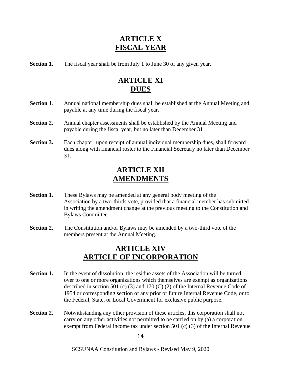## **ARTICLE X FISCAL YEAR**

**Section 1.** The fiscal year shall be from July 1 to June 30 of any given year.

## **ARTICLE XI DUES**

- **Section 1**. Annual national membership dues shall be established at the Annual Meeting and payable at any time during the fiscal year.
- **Section 2.** Annual chapter assessments shall be established by the Annual Meeting and payable during the fiscal year, but no later than December 31
- **Section 3.** Each chapter, upon receipt of annual individual membership dues, shall forward dues along with financial roster to the Financial Secretary no later than December 31.

## **ARTICLE XII AMENDMENTS**

- **Section 1.** These Bylaws may be amended at any general body meeting of the Association by a two-thirds vote, provided that a financial member has submitted in writing the amendment change at the previous meeting to the Constitution and Bylaws Committee.
- **Section 2**. The Constitution and/or Bylaws may be amended by a two-third vote of the members present at the Annual Meeting.

## **ARTICLE XIV ARTICLE OF INCORPORATION**

- **Section 1.** In the event of dissolution, the residue assets of the Association will be turned over to one or more organizations which themselves are exempt as organizations described in section 501 (c) (3) and 170 (C) (2) of the Internal Revenue Code of 1954 or corresponding section of any prior or future Internal Revenue Code, or to the Federal, State, or Local Government for exclusive public purpose.
- **Section 2.** Notwithstanding any other provision of these articles, this corporation shall not carry on any other activities not permitted to be carried on by (a) a corporation exempt from Federal income tax under section 501 (c) (3) of the Internal Revenue